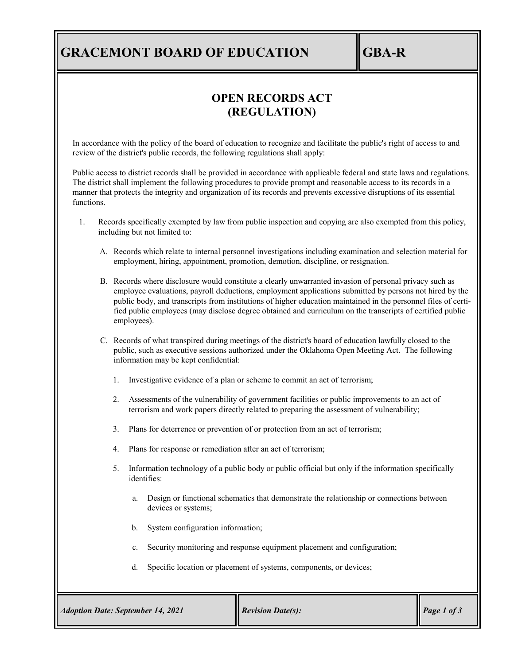## **GRACEMONT BOARD OF EDUCATION GBA-R**

### **OPEN RECORDS ACT (REGULATION)**

In accordance with the policy of the board of education to recognize and facilitate the public's right of access to and review of the district's public records, the following regulations shall apply:

Public access to district records shall be provided in accordance with applicable federal and state laws and regulations. The district shall implement the following procedures to provide prompt and reasonable access to its records in a manner that protects the integrity and organization of its records and prevents excessive disruptions of its essential functions.

- 1. Records specifically exempted by law from public inspection and copying are also exempted from this policy, including but not limited to:
	- A. Records which relate to internal personnel investigations including examination and selection material for employment, hiring, appointment, promotion, demotion, discipline, or resignation.
	- B. Records where disclosure would constitute a clearly unwarranted invasion of personal privacy such as employee evaluations, payroll deductions, employment applications submitted by persons not hired by the public body, and transcripts from institutions of higher education maintained in the personnel files of certified public employees (may disclose degree obtained and curriculum on the transcripts of certified public employees).
	- C. Records of what transpired during meetings of the district's board of education lawfully closed to the public, such as executive sessions authorized under the Oklahoma Open Meeting Act. The following information may be kept confidential:
		- 1. Investigative evidence of a plan or scheme to commit an act of terrorism;
		- 2. Assessments of the vulnerability of government facilities or public improvements to an act of terrorism and work papers directly related to preparing the assessment of vulnerability;
		- 3. Plans for deterrence or prevention of or protection from an act of terrorism;
		- 4. Plans for response or remediation after an act of terrorism;
		- 5. Information technology of a public body or public official but only if the information specifically identifies:
			- a. Design or functional schematics that demonstrate the relationship or connections between devices or systems;
			- b. System configuration information;
			- c. Security monitoring and response equipment placement and configuration;
			- d. Specific location or placement of systems, components, or devices;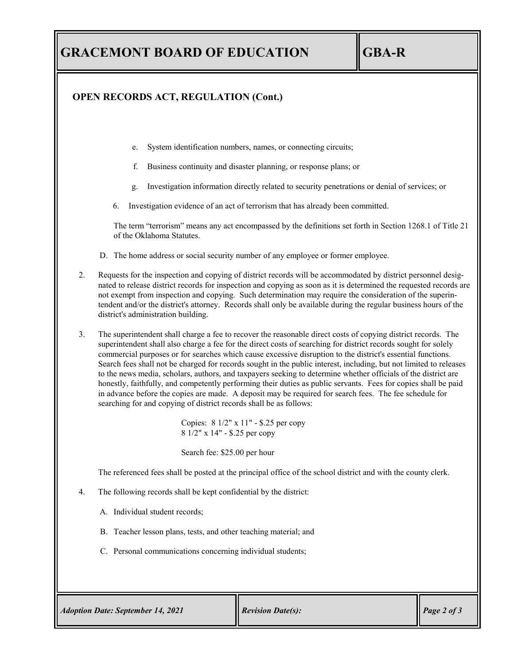#### **OPEN RECORDS ACT, REGULATION (Cont.)**

- e. System identification numbers, names, or connecting circuits;
- f. Business continuity and disaster planning, or response plans; or
- g. Investigation information directly related to security penetrations or denial of services; or
- 6. Investigation evidence of an act of terrorism that has already been committed.

The term "terrorism" means any act encompassed by the definitions set forth in Section 1268.1 of Title 21 of the Oklahoma Statutes.

- D. The home address or social security number of any employee or former employee.
- 2. Requests for the inspection and copying of district records will be accommodated by district personnel designated to release district records for inspection and copying as soon as it is determined the requested records are not exempt from inspection and copying. Such determination may require the consideration of the superintendent and/or the district's attorney. Records shall only be available during the regular business hours of the district's administration building.
- 3. The superintendent shall charge a fee to recover the reasonable direct costs of copying district records. The superintendent shall also charge a fee for the direct costs of searching for district records sought for solely commercial purposes or for searches which cause excessive disruption to the district's essential functions. Search fees shall not be charged for records sought in the public interest, including, but not limited to releases to the news media, scholars, authors, and taxpayers seeking to determine whether officials of the district are honestly, faithfully, and competently performing their duties as public servants. Fees for copies shall be paid in advance before the copies are made. A deposit may be required for search fees. The fee schedule for searching for and copying of district records shall be as follows:

Copies: 8 1/2" x 11" - \$.25 per copy 8 1/2" x 14" - \$.25 per copy

Search fee: \$25.00 per hour

The referenced fees shall be posted at the principal office of the school district and with the county clerk.

- 4. The following records shall be kept confidential by the district:
	- A. Individual student records;
	- B. Teacher lesson plans, tests, and other teaching material; and
	- C. Personal communications concerning individual students;